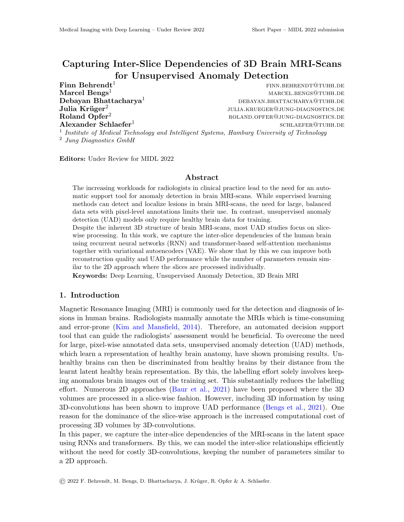# Capturing Inter-Slice Dependencies of 3D Brain MRI-Scans for Unsupervised Anomaly Detection

Julia Krüger<sup>2</sup> Alexander Schlaefer<sup>1</sup>

 $\mathbf{Finn}\ \mathbf{Behrendt}^\mathbf{1}$  finn.behrendt<sup>1</sup> Marcel Bengs<sup>1</sup> marcel.bengs<sup>1</sup> marcel.bengs<sup>1</sup> marcel.bengs<sup>1</sup> Debayan Bhattacharya<sup>1</sup> debayan.bhattacharya<sup>1</sup> debayan.bhattacharya<sup>1</sup> debayan.bhattacharya<sup>1</sup> julia.krueger@jung-diagnostics.de  $R$ oland  $O$ pfer<sup>2</sup> roland  $R$ oland  $O$ pfer $R$ <sup>2</sup> roland  $R$  roland  $R$  roland  $R$  roland  $R$  roland  $R$  roland  $R$  roland  $R$  roland  $R$  roland  $R$  roland  $R$  roland  $R$  roland  $R$  roland  $R$  roland  $R$  roland  $R$  roland schlaefer@tuhh.de

<sup>1</sup> Institute of Medical Technology and Intelligent Systems, Hamburg University of Technology <sup>2</sup> Jung Diagnostics GmbH

Editors: Under Review for MIDL 2022

#### Abstract

The increasing workloads for radiologists in clinical practice lead to the need for an automatic support tool for anomaly detection in brain MRI-scans. While supervised learning methods can detect and localize lesions in brain MRI-scans, the need for large, balanced data sets with pixel-level annotations limits their use. In contrast, unsupervised anomaly detection (UAD) models only require healthy brain data for training.

Despite the inherent 3D structure of brain MRI-scans, most UAD studies focus on slicewise processing. In this work, we capture the inter-slice dependencies of the human brain using recurrent neural networks (RNN) and transformer-based self-attention mechanisms together with variational autoencoders (VAE). We show that by this we can improve both reconstruction quality and UAD performance while the number of parameters remain similar to the 2D approach where the slices are processed individually.

Keywords: Deep Learning, Unsupervised Anomaly Detection, 3D Brain MRI

### 1. Introduction

Magnetic Resonance Imaging (MRI) is commonly used for the detection and diagnosis of lesions in human brains. Radiologists manually annotate the MRIs which is time-consuming and error-prone [\(Kim and Mansfield,](#page-2-0) [2014\)](#page-2-0). Therefore, an automated decision support tool that can guide the radiologists' assessment would be beneficial. To overcome the need for large, pixel-wise annotated data sets, unsupervised anomaly detection (UAD) methods, which learn a representation of healthy brain anatomy, have shown promising results. Unhealthy brains can then be discriminated from healthy brains by their distance from the learnt latent healthy brain representation. By this, the labelling effort solely involves keeping anomalous brain images out of the training set. This substantially reduces the labelling effort. Numerous 2D approaches [\(Baur et al.,](#page-2-1) [2021\)](#page-2-1) have been proposed where the 3D volumes are processed in a slice-wise fashion. However, including 3D information by using 3D-convolutions has been shown to improve UAD performance [\(Bengs et al.,](#page-2-2) [2021\)](#page-2-2). One reason for the dominance of the slice-wise approach is the increased computational cost of processing 3D volumes by 3D-convolutions.

In this paper, we capture the inter-slice dependencies of the MRI-scans in the latent space using RNNs and transformers. By this, we can model the inter-slice relationships efficiently without the need for costly 3D-convolutions, keeping the number of parameters similar to a 2D approach.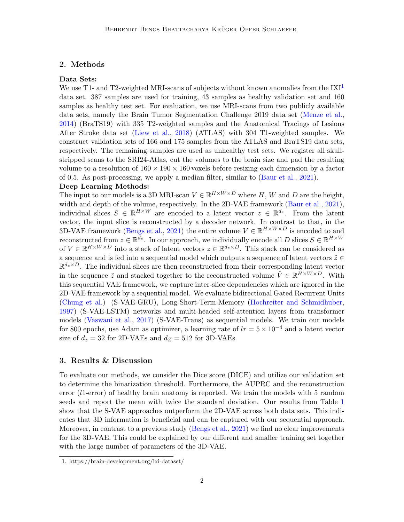## 2. Methods

# Data Sets:

We use T<sub>[1](#page-1-0)</sub>- and T<sub>2</sub>-weighted MRI-scans of subjects without known anomalies from the  $[XI<sup>1</sup>]$ data set. 387 samples are used for training, 43 samples as healthy validation set and 160 samples as healthy test set. For evaluation, we use MRI-scans from two publicly available data sets, namely the Brain Tumor Segmentation Challenge 2019 data set [\(Menze et al.,](#page-2-3) [2014\)](#page-2-3) (BraTS19) with 335 T2-weighted samples and the Anatomical Tracings of Lesions After Stroke data set [\(Liew et al.,](#page-2-4) [2018\)](#page-2-4) (ATLAS) with 304 T1-weighted samples. We construct validation sets of 166 and 175 samples from the ATLAS and BraTS19 data sets, respectively. The remaining samples are used as unhealthy test sets. We register all skullstripped scans to the SRI24-Atlas, cut the volumes to the brain size and pad the resulting volume to a resolution of  $160 \times 190 \times 160$  voxels before resizing each dimension by a factor of 0.5. As post-processing, we apply a median filter, similar to [\(Baur et al.,](#page-2-1) [2021\)](#page-2-1).

#### Deep Learning Methods:

The input to our models is a 3D MRI-scan  $V \in \mathbb{R}^{H \times W \times D}$  where H, W and D are the height, width and depth of the volume, respectively. In the 2D-VAE framework [\(Baur et al.,](#page-2-1) [2021\)](#page-2-1), individual slices  $S \in \mathbb{R}^{H \times W}$  are encoded to a latent vector  $z \in \mathbb{R}^{d_z}$ . From the latent vector, the input slice is reconstructed by a decoder network. In contrast to that, in the 3D-VAE framework [\(Bengs et al.,](#page-2-2) [2021\)](#page-2-2) the entire volume  $V \in \mathbb{R}^{H \times W \times D}$  is encoded to and reconstructed from  $z \in \mathbb{R}^{d_z}$ . In our approach, we individually encode all D slices  $S \in \mathbb{R}^{H \times W}$ of  $V \in \mathbb{R}^{H \times W \times D}$  into a stack of latent vectors  $z \in \mathbb{R}^{d_z \times D}$ . This stack can be considered as a sequence and is fed into a sequential model which outputs a sequence of latent vectors  $\tilde{z} \in$  $\mathbb{R}^{d_z \times D}$ . The individual slices are then reconstructed from their corresponding latent vector in the sequence  $\tilde{z}$  and stacked together to the reconstructed volume  $\hat{V} \in \mathbb{R}^{H \times W \times D}$ . With this sequential VAE framework, we capture inter-slice dependencies which are ignored in the 2D-VAE framework by a sequential model. We evaluate bidirectional Gated Recurrent Units [\(Chung et al.\)](#page-2-5) (S-VAE-GRU), Long-Short-Term-Memory [\(Hochreiter and Schmidhuber,](#page-2-6) [1997\)](#page-2-6) (S-VAE-LSTM) networks and multi-headed self-attention layers from transformer models [\(Vaswani et al.,](#page-2-7) [2017\)](#page-2-7) (S-VAE-Trans) as sequential models. We train our models for 800 epochs, use Adam as optimizer, a learning rate of  $lr = 5 \times 10^{-4}$  and a latent vector size of  $d_z = 32$  for 2D-VAEs and  $d_Z = 512$  for 3D-VAEs.

## 3. Results & Discussion

To evaluate our methods, we consider the Dice score (DICE) and utilize our validation set to determine the binarization threshold. Furthermore, the AUPRC and the reconstruction error (l1-error) of healthy brain anatomy is reported. We train the models with 5 random seeds and report the mean with twice the standard deviation. Our results from Table [1](#page-2-8) show that the S-VAE approaches outperform the 2D-VAE across both data sets. This indicates that 3D information is beneficial and can be captured with our sequential approach. Moreover, in contrast to a previous study [\(Bengs et al.,](#page-2-2) [2021\)](#page-2-2) we find no clear improvements for the 3D-VAE. This could be explained by our different and smaller training set together with the large number of parameters of the 3D-VAE.

<span id="page-1-0"></span><sup>1.</sup> https://brain-development.org/ixi-dataset/